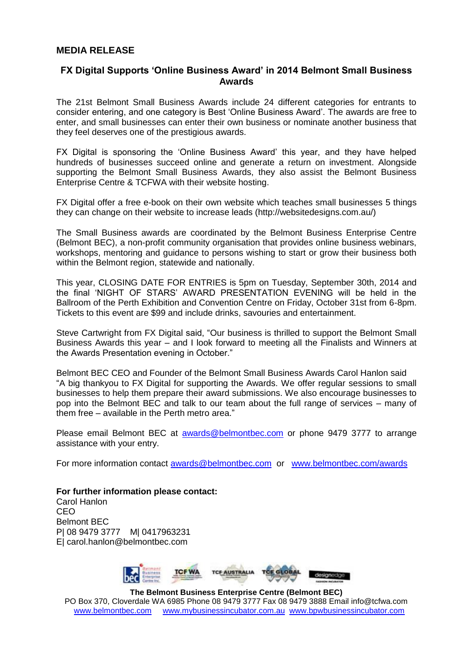## **MEDIA RELEASE**

## **FX Digital Supports 'Online Business Award' in 2014 Belmont Small Business Awards**

The 21st Belmont Small Business Awards include 24 different categories for entrants to consider entering, and one category is Best 'Online Business Award'. The awards are free to enter, and small businesses can enter their own business or nominate another business that they feel deserves one of the prestigious awards.

FX Digital is sponsoring the 'Online Business Award' this year, and they have helped hundreds of businesses succeed online and generate a return on investment. Alongside supporting the Belmont Small Business Awards, they also assist the Belmont Business Enterprise Centre & TCFWA with their website hosting.

FX Digital offer a free e-book on their own website which teaches small businesses 5 things they can change on their website to increase leads (http://websitedesigns.com.au/)

The Small Business awards are coordinated by the Belmont Business Enterprise Centre (Belmont BEC), a non-profit community organisation that provides online business webinars, workshops, mentoring and guidance to persons wishing to start or grow their business both within the Belmont region, statewide and nationally.

This year, CLOSING DATE FOR ENTRIES is 5pm on Tuesday, September 30th, 2014 and the final 'NIGHT OF STARS' AWARD PRESENTATION EVENING will be held in the Ballroom of the Perth Exhibition and Convention Centre on Friday, October 31st from 6-8pm. Tickets to this event are \$99 and include drinks, savouries and entertainment.

Steve Cartwright from FX Digital said, "Our business is thrilled to support the Belmont Small Business Awards this year – and I look forward to meeting all the Finalists and Winners at the Awards Presentation evening in October."

Belmont BEC CEO and Founder of the Belmont Small Business Awards Carol Hanlon said "A big thankyou to FX Digital for supporting the Awards. We offer regular sessions to small businesses to help them prepare their award submissions. We also encourage businesses to pop into the Belmont BEC and talk to our team about the full range of services – many of them free – available in the Perth metro area."

Please email Belmont BEC at [awards@belmontbec.com](mailto:awards@belmontbec.com) or phone 9479 3777 to arrange assistance with your entry.

For more information contact [awards@belmontbec.com](mailto:awards@belmontbec.com) or [www.belmontbec.com/awards](http://www.belmontbec.com/awards)

**For further information please contact:** Carol Hanlon CEO Belmont BEC P| 08 9479 3777 M| 0417963231 E| carol.hanlon@belmontbec.com



**The Belmont Business Enterprise Centre (Belmont BEC)** PO Box 370, Cloverdale WA 6985 Phone 08 9479 3777 Fax 08 9479 3888 Email info@tcfwa.com [www.belmontbec.com](http://www.belmontbec.com/) [www.mybusinessincubator.com.au](http://www.mybusinessincubator.com.au/) [www.bpwbusinessincubator.com](http://www.bpwbusinessincubator.com/)